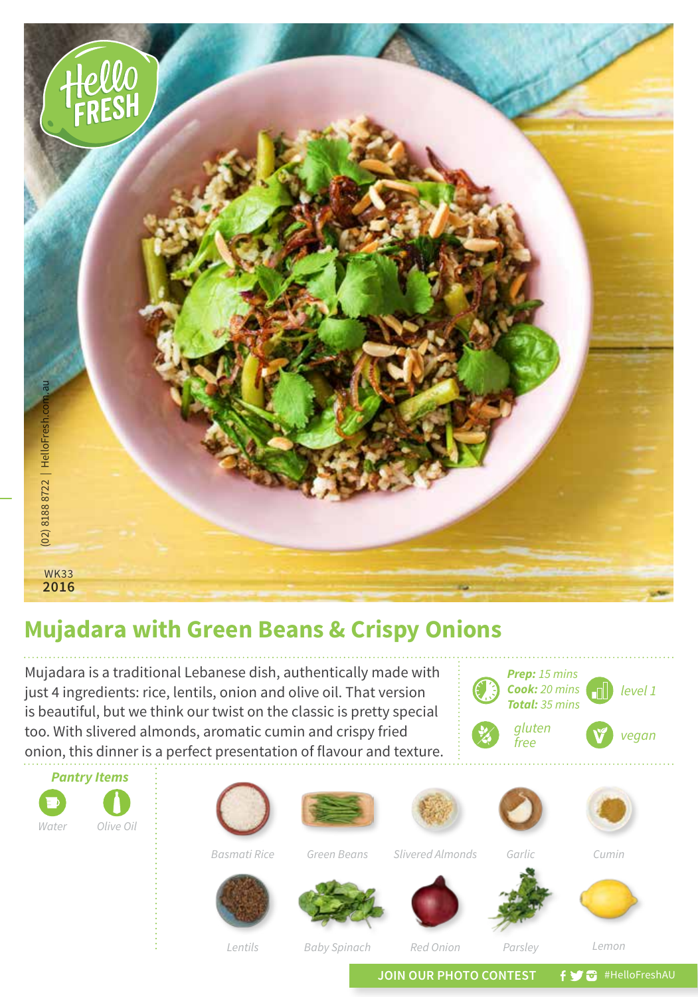

## **Mujadara with Green Beans & Crispy Onions**

Mujadara is a traditional Lebanese dish, authentically made with just 4 ingredients: rice, lentils, onion and olive oil. That version is beautiful, but we think our twist on the classic is pretty special too. With slivered almonds, aromatic cumin and crispy fried onion, this dinner is a perfect presentation of flavour and texture.





*Lentils*

*Baby Spinach*

*Red Onion*

*Parsley Lemon*

JOIN OUR PHOTO CONTEST **f y** a #HelloFreshAU